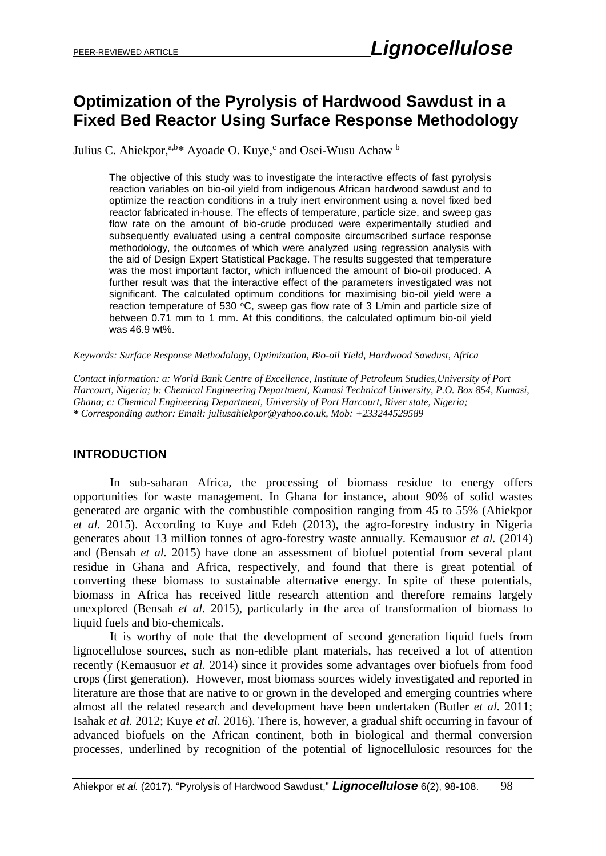# **Optimization of the Pyrolysis of Hardwood Sawdust in a Fixed Bed Reactor Using Surface Response Methodology**

Julius C. Ahiekpor,<sup>a,b\*</sup> Ayoade O. Kuye,<sup>c</sup> and Osei-Wusu Achaw<sup>b</sup>

The objective of this study was to investigate the interactive effects of fast pyrolysis reaction variables on bio-oil yield from indigenous African hardwood sawdust and to optimize the reaction conditions in a truly inert environment using a novel fixed bed reactor fabricated in-house. The effects of temperature, particle size, and sweep gas flow rate on the amount of bio-crude produced were experimentally studied and subsequently evaluated using a central composite circumscribed surface response methodology, the outcomes of which were analyzed using regression analysis with the aid of Design Expert Statistical Package. The results suggested that temperature was the most important factor, which influenced the amount of bio-oil produced. A further result was that the interactive effect of the parameters investigated was not significant. The calculated optimum conditions for maximising bio-oil yield were a reaction temperature of 530  $\degree$ C, sweep gas flow rate of 3 L/min and particle size of between 0.71 mm to 1 mm. At this conditions, the calculated optimum bio-oil yield was 46.9 wt%.

*Keywords: Surface Response Methodology, Optimization, Bio-oil Yield, Hardwood Sawdust, Africa*

*Contact information: a: World Bank Centre of Excellence, Institute of Petroleum Studies,University of Port Harcourt, Nigeria; b: Chemical Engineering Department, Kumasi Technical University, P.O. Box 854, Kumasi, Ghana; c: Chemical Engineering Department, University of Port Harcourt, River state, Nigeria; \* Corresponding author: Email: [juliusahiekpor@yahoo.co.uk,](mailto:juliusahiekpor@yahoo.co.uk) Mob: +233244529589*

# **INTRODUCTION**

In sub-saharan Africa, the processing of biomass residue to energy offers opportunities for waste management. In Ghana for instance, about 90% of solid wastes generated are organic with the combustible composition ranging from 45 to 55% (Ahiekpor *et al.* 2015). According to Kuye and Edeh (2013), the agro-forestry industry in Nigeria generates about 13 million tonnes of agro-forestry waste annually. Kemausuor *et al.* (2014) and (Bensah *et al.* 2015) have done an assessment of biofuel potential from several plant residue in Ghana and Africa, respectively, and found that there is great potential of converting these biomass to sustainable alternative energy. In spite of these potentials, biomass in Africa has received little research attention and therefore remains largely unexplored (Bensah *et al.* 2015), particularly in the area of transformation of biomass to liquid fuels and bio-chemicals.

It is worthy of note that the development of second generation liquid fuels from lignocellulose sources, such as non-edible plant materials, has received a lot of attention recently (Kemausuor *et al.* 2014) since it provides some advantages over biofuels from food crops (first generation). However, most biomass sources widely investigated and reported in literature are those that are native to or grown in the developed and emerging countries where almost all the related research and development have been undertaken (Butler *et al.* 2011; Isahak *et al.* 2012; Kuye *et al.* 2016). There is, however, a gradual shift occurring in favour of advanced biofuels on the African continent, both in biological and thermal conversion processes, underlined by recognition of the potential of lignocellulosic resources for the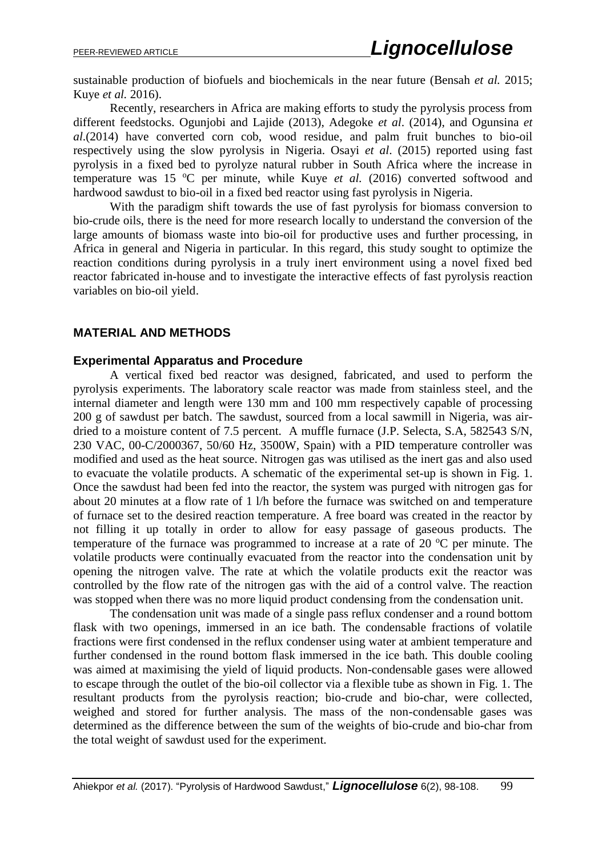sustainable production of biofuels and biochemicals in the near future (Bensah *et al.* 2015; Kuye *et al.* 2016).

Recently, researchers in Africa are making efforts to study the pyrolysis process from different feedstocks. Ogunjobi and Lajide (2013), Adegoke *et al*. (2014), and Ogunsina *et al*.(2014) have converted corn cob, wood residue, and palm fruit bunches to bio-oil respectively using the slow pyrolysis in Nigeria. Osayi *et al*. (2015) reported using fast pyrolysis in a fixed bed to pyrolyze natural rubber in South Africa where the increase in temperature was 15  $^{\circ}$ C per minute, while Kuye *et al.* (2016) converted softwood and hardwood sawdust to bio-oil in a fixed bed reactor using fast pyrolysis in Nigeria.

With the paradigm shift towards the use of fast pyrolysis for biomass conversion to bio-crude oils, there is the need for more research locally to understand the conversion of the large amounts of biomass waste into bio-oil for productive uses and further processing, in Africa in general and Nigeria in particular. In this regard, this study sought to optimize the reaction conditions during pyrolysis in a truly inert environment using a novel fixed bed reactor fabricated in-house and to investigate the interactive effects of fast pyrolysis reaction variables on bio-oil yield.

#### **MATERIAL AND METHODS**

#### **Experimental Apparatus and Procedure**

A vertical fixed bed reactor was designed, fabricated, and used to perform the pyrolysis experiments. The laboratory scale reactor was made from stainless steel, and the internal diameter and length were 130 mm and 100 mm respectively capable of processing 200 g of sawdust per batch. The sawdust, sourced from a local sawmill in Nigeria, was airdried to a moisture content of 7.5 percent. A muffle furnace (J.P. Selecta, S.A, 582543 S/N, 230 VAC, 00-C/2000367, 50/60 Hz, 3500W, Spain) with a PID temperature controller was modified and used as the heat source. Nitrogen gas was utilised as the inert gas and also used to evacuate the volatile products. A schematic of the experimental set-up is shown in Fig. 1. Once the sawdust had been fed into the reactor, the system was purged with nitrogen gas for about 20 minutes at a flow rate of 1 l/h before the furnace was switched on and temperature of furnace set to the desired reaction temperature. A free board was created in the reactor by not filling it up totally in order to allow for easy passage of gaseous products. The temperature of the furnace was programmed to increase at a rate of 20  $^{\circ}$ C per minute. The volatile products were continually evacuated from the reactor into the condensation unit by opening the nitrogen valve. The rate at which the volatile products exit the reactor was controlled by the flow rate of the nitrogen gas with the aid of a control valve. The reaction was stopped when there was no more liquid product condensing from the condensation unit.

The condensation unit was made of a single pass reflux condenser and a round bottom flask with two openings, immersed in an ice bath. The condensable fractions of volatile fractions were first condensed in the reflux condenser using water at ambient temperature and further condensed in the round bottom flask immersed in the ice bath. This double cooling was aimed at maximising the yield of liquid products. Non-condensable gases were allowed to escape through the outlet of the bio-oil collector via a flexible tube as shown in Fig. 1. The resultant products from the pyrolysis reaction; bio-crude and bio-char, were collected, weighed and stored for further analysis. The mass of the non-condensable gases was determined as the difference between the sum of the weights of bio-crude and bio-char from the total weight of sawdust used for the experiment.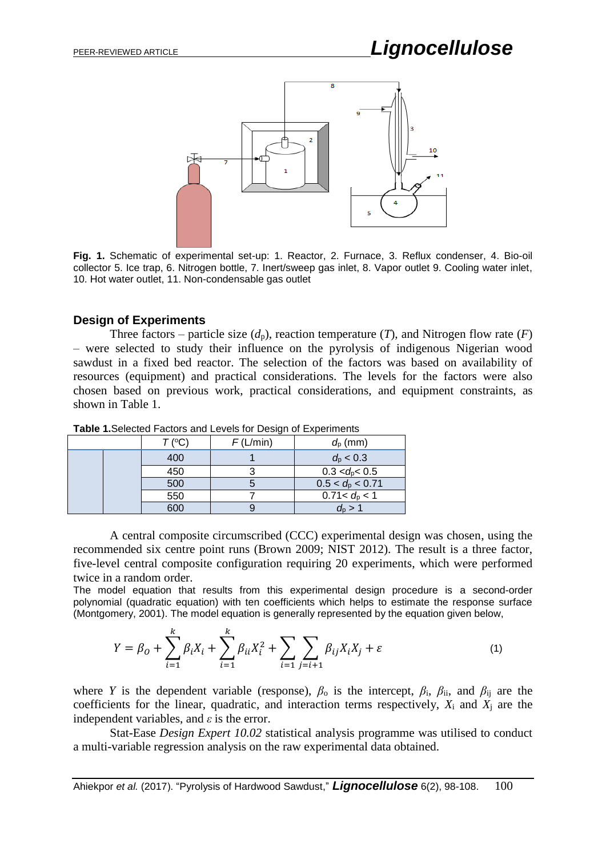

**Fig. 1.** Schematic of experimental set-up: 1. Reactor, 2. Furnace, 3. Reflux condenser, 4. Bio-oil collector 5. Ice trap, 6. Nitrogen bottle, 7. Inert/sweep gas inlet, 8. Vapor outlet 9. Cooling water inlet, 10. Hot water outlet, 11. Non-condensable gas outlet

#### **Design of Experiments**

Three factors – particle size  $(d_p)$ , reaction temperature  $(T)$ , and Nitrogen flow rate  $(F)$ – were selected to study their influence on the pyrolysis of indigenous Nigerian wood sawdust in a fixed bed reactor. The selection of the factors was based on availability of resources (equipment) and practical considerations. The levels for the factors were also chosen based on previous work, practical considerations, and equipment constraints, as shown in Table 1.

|  | $T$ (°C) | F(L/min) | $d_p$ (mm)           |
|--|----------|----------|----------------------|
|  | 400      |          | $d_p < 0.3$          |
|  | 450      |          | $0.3 < d_p < 0.5$    |
|  | 500      |          | $0.5 < d_{p} < 0.71$ |
|  | 550      |          | $0.71 < d_p < 1$     |
|  | 600      |          | $d_{p}$ >            |

**Table 1.** Selected Factors and Levels for Design of Experiments

A central composite circumscribed (CCC) experimental design was chosen, using the recommended six centre point runs (Brown 2009; NIST 2012). The result is a three factor, five-level central composite configuration requiring 20 experiments, which were performed twice in a random order.

The model equation that results from this experimental design procedure is a second-order polynomial (quadratic equation) with ten coefficients which helps to estimate the response surface (Montgomery, 2001). The model equation is generally represented by the equation given below,

$$
Y = \beta_0 + \sum_{i=1}^k \beta_i X_i + \sum_{i=1}^k \beta_{ii} X_i^2 + \sum_{i=1}^k \sum_{j=i+1} \beta_{ij} X_i X_j + \varepsilon
$$
 (1)

where *Y* is the dependent variable (response),  $\beta_0$  is the intercept,  $\beta_i$ ,  $\beta_{ii}$ , and  $\beta_{ij}$  are the coefficients for the linear, quadratic, and interaction terms respectively, *X*<sup>i</sup> and *X*<sup>j</sup> are the independent variables, and *ε* is the error.

Stat-Ease *Design Expert 10.02* statistical analysis programme was utilised to conduct a multi-variable regression analysis on the raw experimental data obtained.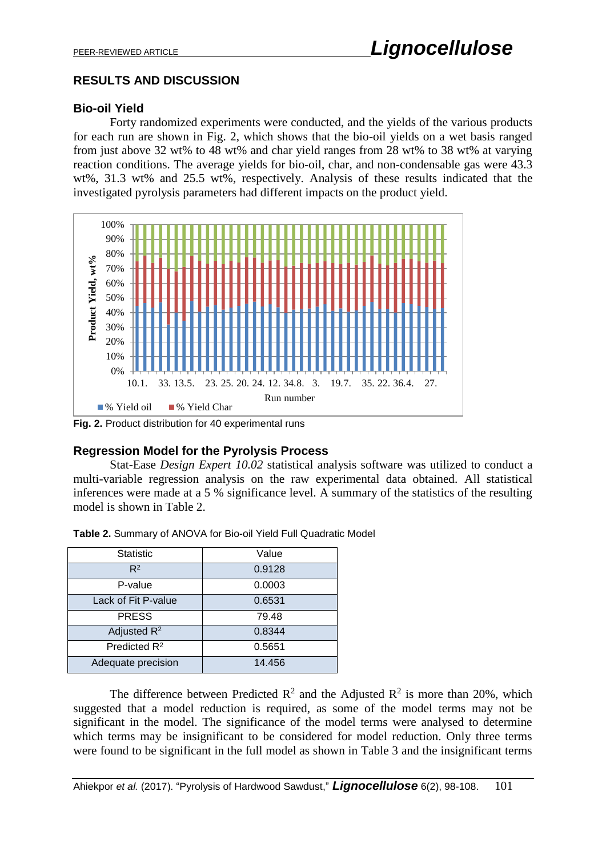# **RESULTS AND DISCUSSION**

#### **Bio-oil Yield**

Forty randomized experiments were conducted, and the yields of the various products for each run are shown in Fig. 2, which shows that the bio-oil yields on a wet basis ranged from just above 32 wt% to 48 wt% and char yield ranges from 28 wt% to 38 wt% at varying reaction conditions. The average yields for bio-oil, char, and non-condensable gas were 43.3 wt%, 31.3 wt% and 25.5 wt%, respectively. Analysis of these results indicated that the investigated pyrolysis parameters had different impacts on the product yield.



**Fig. 2.** Product distribution for 40 experimental runs

# **Regression Model for the Pyrolysis Process**

Stat-Ease *Design Expert 10.02* statistical analysis software was utilized to conduct a multi-variable regression analysis on the raw experimental data obtained. All statistical inferences were made at a 5 % significance level. A summary of the statistics of the resulting model is shown in Table 2.

| <b>Statistic</b>    | Value  |  |
|---------------------|--------|--|
| $R^2$               | 0.9128 |  |
| P-value             | 0.0003 |  |
| Lack of Fit P-value | 0.6531 |  |
| <b>PRESS</b>        | 79.48  |  |
| Adjusted $R^2$      | 0.8344 |  |
| Predicted $R^2$     | 0.5651 |  |
| Adequate precision  | 14.456 |  |

|  |  |  | Table 2. Summary of ANOVA for Bio-oil Yield Full Quadratic Model |
|--|--|--|------------------------------------------------------------------|
|--|--|--|------------------------------------------------------------------|

The difference between Predicted  $\mathbb{R}^2$  and the Adjusted  $\mathbb{R}^2$  is more than 20%, which suggested that a model reduction is required, as some of the model terms may not be significant in the model. The significance of the model terms were analysed to determine which terms may be insignificant to be considered for model reduction. Only three terms were found to be significant in the full model as shown in Table 3 and the insignificant terms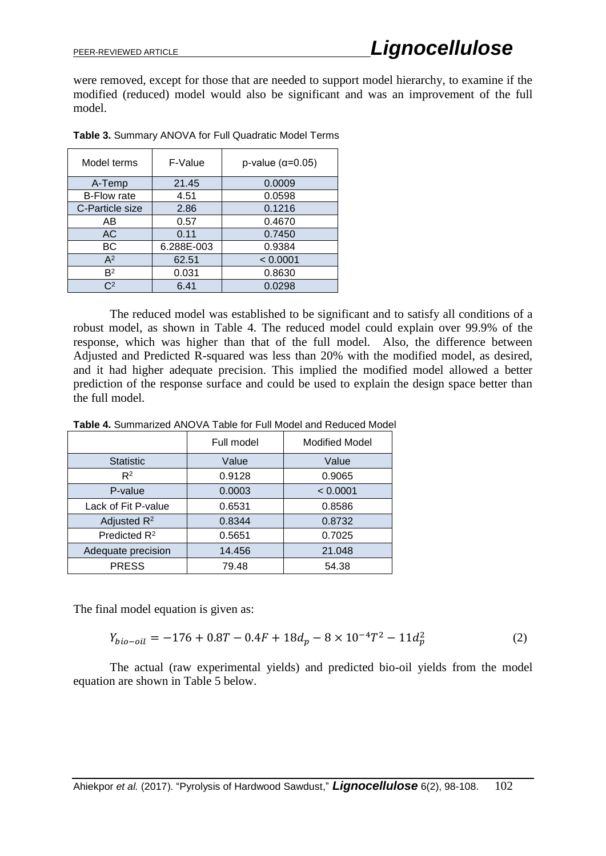were removed, except for those that are needed to support model hierarchy, to examine if the modified (reduced) model would also be significant and was an improvement of the full model.

| Model terms        | F-Value    | p-value $(\alpha=0.05)$ |  |
|--------------------|------------|-------------------------|--|
| A-Temp             | 21.45      | 0.0009                  |  |
| <b>B-Flow rate</b> | 4.51       | 0.0598                  |  |
| C-Particle size    | 2.86       | 0.1216                  |  |
| AB                 | 0.57       | 0.4670                  |  |
| AC                 | 0.11       | 0.7450                  |  |
| BС                 | 6.288E-003 | 0.9384                  |  |
| $A^2$              | 62.51      | < 0.0001                |  |
| B <sup>2</sup>     | 0.031      | 0.8630                  |  |
| C <sup>2</sup>     | 6.41       | 0.0298                  |  |

| Table 3. Summary ANOVA for Full Quadratic Model Terms |
|-------------------------------------------------------|
|-------------------------------------------------------|

The reduced model was established to be significant and to satisfy all conditions of a robust model, as shown in Table 4. The reduced model could explain over 99.9% of the response, which was higher than that of the full model. Also, the difference between Adjusted and Predicted R-squared was less than 20% with the modified model, as desired, and it had higher adequate precision. This implied the modified model allowed a better prediction of the response surface and could be used to explain the design space better than the full model.

**Table 4.** Summarized ANOVA Table for Full Model and Reduced Model

|                     | Full model | <b>Modified Model</b> |  |
|---------------------|------------|-----------------------|--|
| <b>Statistic</b>    | Value      | Value                 |  |
| $R^2$               | 0.9128     | 0.9065                |  |
| P-value             | 0.0003     | < 0.0001              |  |
| Lack of Fit P-value | 0.6531     | 0.8586                |  |
| Adjusted $R^2$      | 0.8344     | 0.8732                |  |
| Predicted $R^2$     | 0.5651     | 0.7025                |  |
| Adequate precision  | 14.456     | 21.048                |  |
| <b>PRESS</b>        | 79.48      | 54.38                 |  |

The final model equation is given as:

$$
Y_{bio-oil} = -176 + 0.8T - 0.4F + 18d_p - 8 \times 10^{-4}T^2 - 11d_p^2 \tag{2}
$$

The actual (raw experimental yields) and predicted bio-oil yields from the model equation are shown in Table 5 below.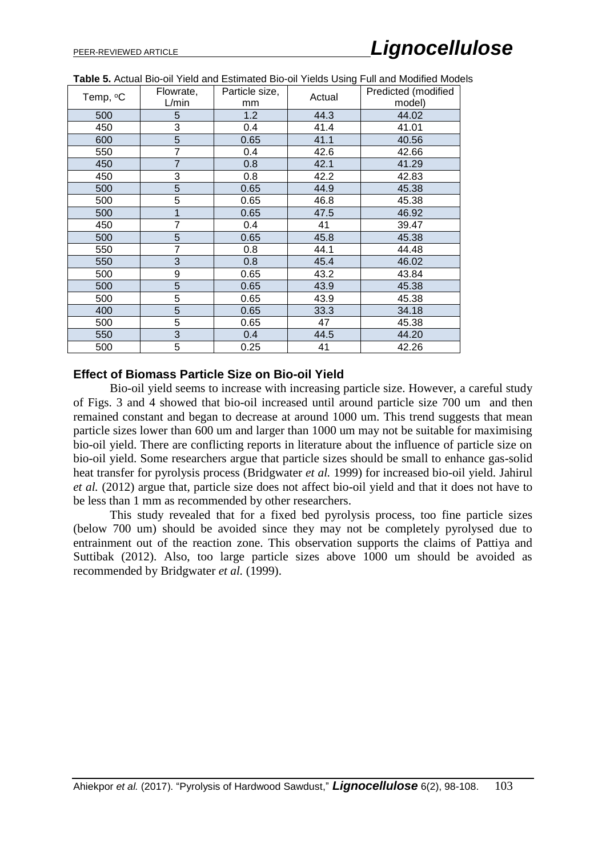| Temp, °C | Flowrate,<br>L/min | Particle size,<br>mm | Actual | Predicted (modified<br>model) |
|----------|--------------------|----------------------|--------|-------------------------------|
| 500      | 5                  | 1.2                  | 44.3   | 44.02                         |
| 450      | 3                  | 0.4                  | 41.4   | 41.01                         |
| 600      | 5                  | 0.65                 | 41.1   | 40.56                         |
| 550      | 7                  | 0.4                  | 42.6   | 42.66                         |
| 450      | $\overline{7}$     | 0.8                  | 42.1   | 41.29                         |
| 450      | 3                  | 0.8                  | 42.2   | 42.83                         |
| 500      | 5                  | 0.65                 | 44.9   | 45.38                         |
| 500      | 5                  | 0.65                 | 46.8   | 45.38                         |
| 500      | 1                  | 0.65                 | 47.5   | 46.92                         |
| 450      | 7                  | 0.4                  | 41     | 39.47                         |
| 500      | 5                  | 0.65                 | 45.8   | 45.38                         |
| 550      | 7                  | 0.8                  | 44.1   | 44.48                         |
| 550      | 3                  | 0.8                  | 45.4   | 46.02                         |
| 500      | 9                  | 0.65                 | 43.2   | 43.84                         |
| 500      | 5                  | 0.65                 | 43.9   | 45.38                         |
| 500      | 5                  | 0.65                 | 43.9   | 45.38                         |
| 400      | 5                  | 0.65                 | 33.3   | 34.18                         |
| 500      | 5                  | 0.65                 | 47     | 45.38                         |
| 550      | 3                  | 0.4                  | 44.5   | 44.20                         |
| 500      | 5                  | 0.25                 | 41     | 42.26                         |

#### **Effect of Biomass Particle Size on Bio-oil Yield**

Bio-oil yield seems to increase with increasing particle size. However, a careful study of Figs. 3 and 4 showed that bio-oil increased until around particle size 700 um and then remained constant and began to decrease at around 1000 um. This trend suggests that mean particle sizes lower than 600 um and larger than 1000 um may not be suitable for maximising bio-oil yield. There are conflicting reports in literature about the influence of particle size on bio-oil yield. Some researchers argue that particle sizes should be small to enhance gas-solid heat transfer for pyrolysis process (Bridgwater *et al.* 1999) for increased bio-oil yield. Jahirul *et al.* (2012) argue that, particle size does not affect bio-oil yield and that it does not have to be less than 1 mm as recommended by other researchers.

This study revealed that for a fixed bed pyrolysis process, too fine particle sizes (below 700 um) should be avoided since they may not be completely pyrolysed due to entrainment out of the reaction zone. This observation supports the claims of Pattiya and Suttibak (2012). Also, too large particle sizes above 1000 um should be avoided as recommended by Bridgwater *et al.* (1999).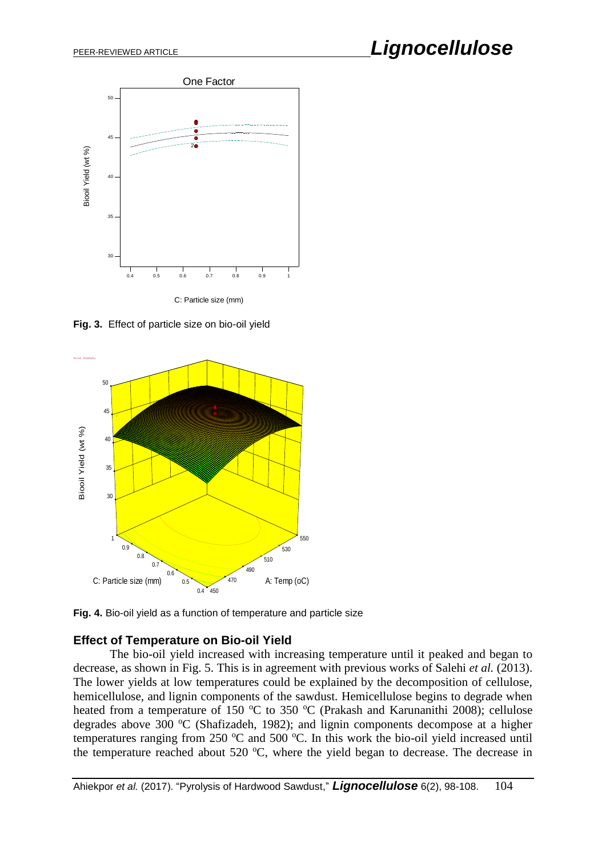

**Fig. 3.** Effect of particle size on bio-oil yield



**Fig. 4.** Bio-oil yield as a function of temperature and particle size

#### **Effect of Temperature on Bio-oil Yield**

The bio-oil yield increased with increasing temperature until it peaked and began to decrease, as shown in Fig. 5. This is in agreement with previous works of Salehi *et al.* (2013). The lower yields at low temperatures could be explained by the decomposition of cellulose, hemicellulose, and lignin components of the sawdust. Hemicellulose begins to degrade when heated from a temperature of 150  $\degree$ C to 350  $\degree$ C (Prakash and Karunanithi 2008); cellulose degrades above 300  $\rm{°C}$  (Shafizadeh, 1982); and lignin components decompose at a higher temperatures ranging from 250  $\degree$ C and 500  $\degree$ C. In this work the bio-oil yield increased until the temperature reached about 520  $^{\circ}$ C, where the yield began to decrease. The decrease in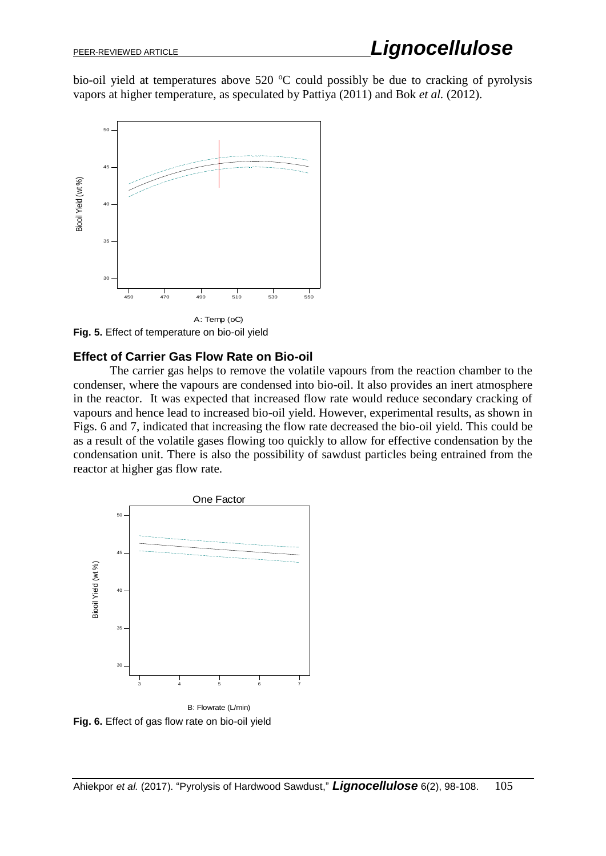bio-oil yield at temperatures above  $520 \text{ °C}$  could possibly be due to cracking of pyrolysis vapors at higher temperature, as speculated by Pattiya (2011) and Bok *et al.* (2012).



**Fig. 5.** Effect of temperature on bio-oil yield

# **Effect of Carrier Gas Flow Rate on Bio-oil**

The carrier gas helps to remove the volatile vapours from the reaction chamber to the condenser, where the vapours are condensed into bio-oil. It also provides an inert atmosphere in the reactor. It was expected that increased flow rate would reduce secondary cracking of vapours and hence lead to increased bio-oil yield. However, experimental results, as shown in 2 Figs. 6 and 7, indicated that increasing the flow rate decreased the bio-oil yield. This could be as a result of the volatile gases flowing too quickly to allow for effective condensation by the condensation unit. There is also the possibility of sawdust particles being entrained from the reactor at higher gas flow rate. Eigs. 6 and 7, indicated that increased of our yields<br>Figs. 6 and 7, indicated that increasing the flow is<br>a result of the volatile gases flowing too quick<br>condensation unit. There is also the possibility condensation at h



**Fig. 6.** Effect of gas flow rate on bio-oil yield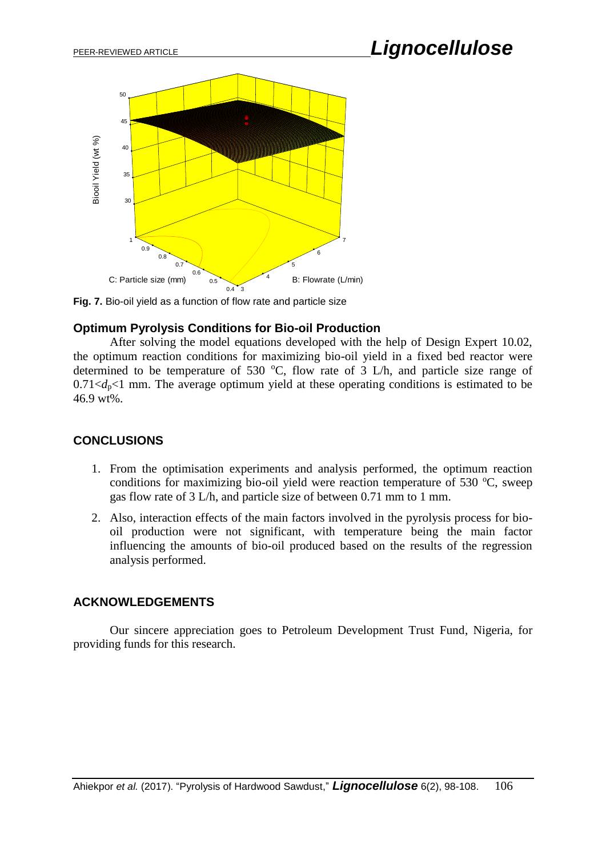# PEER-REVIEWED ARTICLE *Lignocellulose*



**Fig. 7.** Bio-oil yield as a function of flow rate and particle size

### **Optimum Pyrolysis Conditions for Bio-oil Production**

After solving the model equations developed with the help of Design Expert 10.02, the optimum reaction conditions for maximizing bio-oil yield in a fixed bed reactor were determined to be temperature of 530  $^{\circ}$ C, flow rate of 3 L/h, and particle size range of  $0.71 \leq d_p \leq 1$  mm. The average optimum yield at these operating conditions is estimated to be 46.9 wt%.

#### **CONCLUSIONS**

- 1. From the optimisation experiments and analysis performed, the optimum reaction conditions for maximizing bio-oil yield were reaction temperature of 530  $^{\circ}$ C, sweep gas flow rate of 3 L/h, and particle size of between 0.71 mm to 1 mm.
- 2. Also, interaction effects of the main factors involved in the pyrolysis process for biooil production were not significant, with temperature being the main factor influencing the amounts of bio-oil produced based on the results of the regression analysis performed.

#### **ACKNOWLEDGEMENTS**

Our sincere appreciation goes to Petroleum Development Trust Fund, Nigeria, for providing funds for this research.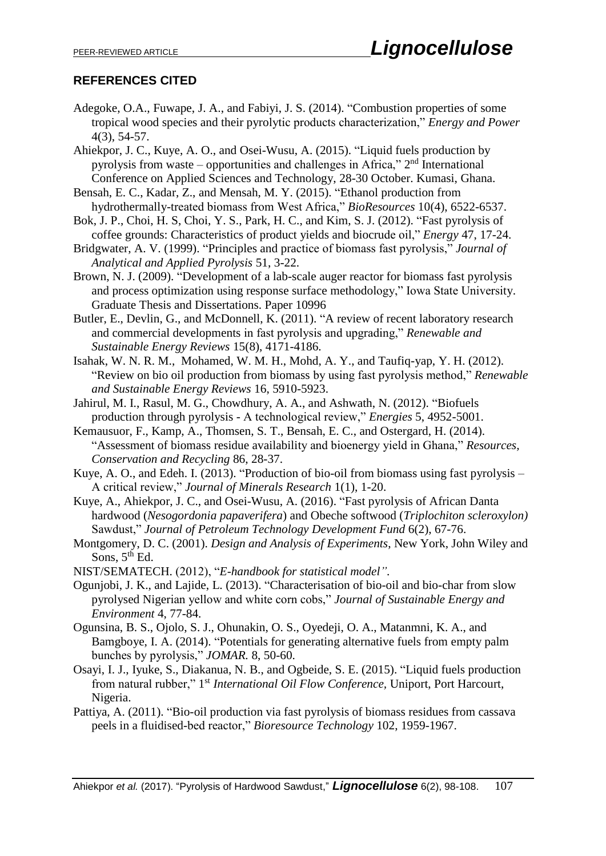# **REFERENCES CITED**

- Adegoke, O.A., Fuwape, J. A., and Fabiyi, J. S. (2014). "Combustion properties of some tropical wood species and their pyrolytic products characterization," *Energy and Power* 4(3), 54-57.
- Ahiekpor, J. C., Kuye, A. O., and Osei-Wusu, A. (2015). "Liquid fuels production by pyrolysis from waste – opportunities and challenges in Africa,"  $2<sup>nd</sup>$  International Conference on Applied Sciences and Technology, 28-30 October. Kumasi, Ghana.
- Bensah, E. C., Kadar, Z., and Mensah, M. Y. (2015). "Ethanol production from hydrothermally-treated biomass from West Africa," *BioResources* 10(4), 6522-6537.
- Bok, J. P., Choi, H. S, Choi, Y. S., Park, H. C., and Kim, S. J. (2012). "Fast pyrolysis of coffee grounds: Characteristics of product yields and biocrude oil," *Energy* 47, 17-24.
- Bridgwater, A. V. (1999). "Principles and practice of biomass fast pyrolysis," *Journal of Analytical and Applied Pyrolysis* 51, 3-22.
- Brown, N. J. (2009). "Development of a lab-scale auger reactor for biomass fast pyrolysis and process optimization using response surface methodology," Iowa State University. Graduate Thesis and Dissertations. Paper 10996
- Butler, E., Devlin, G., and McDonnell, K. (2011). "A review of recent laboratory research and commercial developments in fast pyrolysis and upgrading," *Renewable and Sustainable Energy Reviews* 15(8), 4171-4186.
- Isahak, W. N. R. M., Mohamed, W. M. H., Mohd, A. Y., and Taufiq-yap, Y. H. (2012). "Review on bio oil production from biomass by using fast pyrolysis method," *Renewable and Sustainable Energy Reviews* 16, 5910-5923.
- Jahirul, M. I., Rasul, M. G., Chowdhury, A. A., and Ashwath, N. (2012). "Biofuels production through pyrolysis - A technological review," *Energies* 5, 4952-5001.
- Kemausuor, F., Kamp, A., Thomsen, S. T., Bensah, E. C., and Ostergard, H. (2014). "Assessment of biomass residue availability and bioenergy yield in Ghana," *Resources, Conservation and Recycling* 86, 28-37.
- Kuye, A. O., and Edeh. I. (2013). "Production of bio-oil from biomass using fast pyrolysis A critical review," *Journal of Minerals Research* 1(1), 1-20.
- Kuye, A., Ahiekpor, J. C., and Osei-Wusu, A. (2016). "Fast pyrolysis of African Danta hardwood (*Nesogordonia papaverifera*) and Obeche softwood (*Triplochiton scleroxylon)*  Sawdust," *Journal of Petroleum Technology Development Fund* 6(2), 67-76.
- Montgomery, D. C. (2001). *Design and Analysis of Experiments*, New York, John Wiley and Sons,  $5<sup>th</sup>$  Ed.
- NIST/SEMATECH. (2012), "*E-handbook for statistical model".*
- Ogunjobi, J. K., and Lajide, L. (2013). "Characterisation of bio-oil and bio-char from slow pyrolysed Nigerian yellow and white corn cobs," *Journal of Sustainable Energy and Environment* 4, 77-84.
- Ogunsina, B. S., Ojolo, S. J., Ohunakin, O. S., Oyedeji, O. A., Matanmni, K. A., and Bamgboye, I. A. (2014). "Potentials for generating alternative fuels from empty palm bunches by pyrolysis," *JOMAR.* 8, 50-60.
- Osayi, I. J., Iyuke, S., Diakanua, N. B., and Ogbeide, S. E. (2015). "Liquid fuels production from natural rubber," 1<sup>st</sup> International Oil Flow Conference, Uniport, Port Harcourt, Nigeria.
- Pattiya, A. (2011). "Bio-oil production via fast pyrolysis of biomass residues from cassava peels in a fluidised-bed reactor," *Bioresource Technology* 102, 1959-1967.